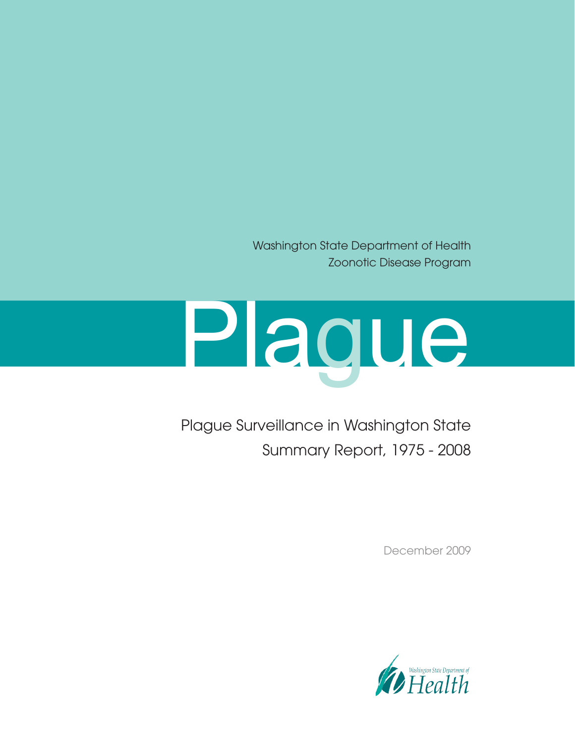Washington State Department of Health Zoonotic Disease Program

# Plague

Plague Surveillance in Washington State Summary Report, 1975 - 2008

December 2009

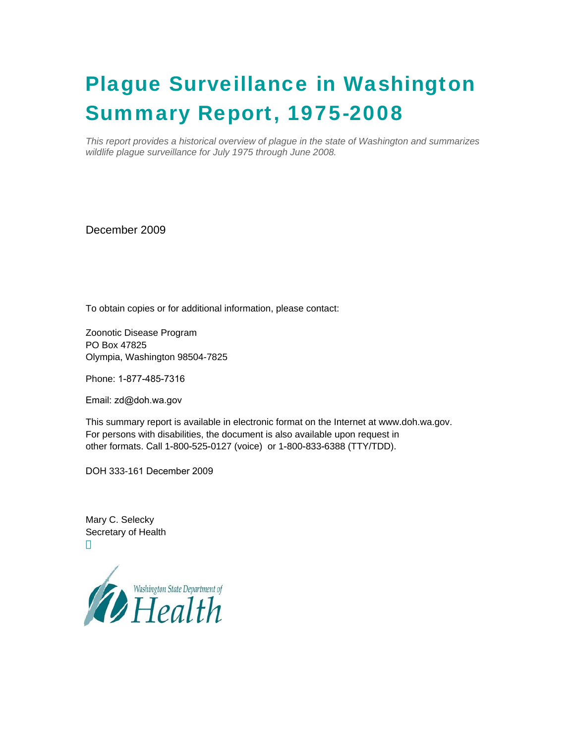# Plague Surveillance in Washington Summary Report, 1975-2008

*This report provides a historical overview of plague in the state of Washington and summarizes wildlife plague surveillance for July 1975 through June 2008.* 

December 2009

To obtain copies or for additional information, please contact:

Zoonotic Disease Program PO Box 47825 Olympia, Washington 98504-7825

Phone: 1-877-485-7316

Email: zd@doh.wa.gov

This summary report is available in electronic format on the Internet at www.doh.wa.gov. For persons with disabilities, the document is also available upon request in other formats. Call 1-800-525-0127 (voice) or 1-800-833-6388 (TTY/TDD).

DOH 333-161 December 2009

Mary C. Selecky Secretary of Health

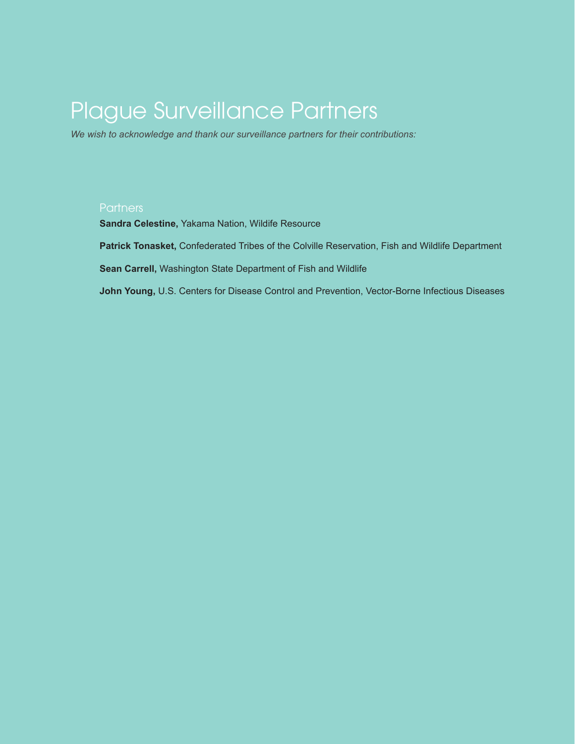# Plague Surveillance Partners

*We wish to acknowledge and thank our surveillance partners for their contributions:*

#### **Partners**

**Sandra Celestine,** Yakama Nation, Wildife Resource

**Patrick Tonasket,** Confederated Tribes of the Colville Reservation, Fish and Wildlife Department

**Sean Carrell,** Washington State Department of Fish and Wildlife

**John Young,** U.S. Centers for Disease Control and Prevention, Vector-Borne Infectious Diseases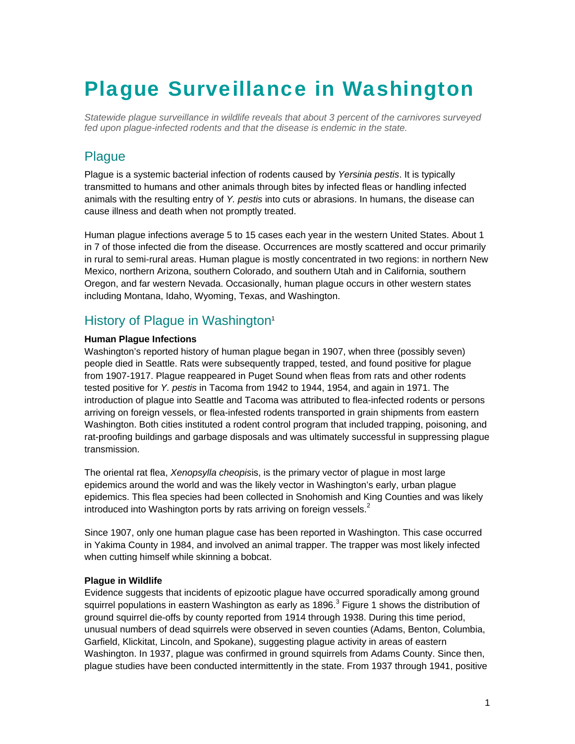# Plague Surveillance in Washington

*Statewide plague surveillance in wildlife reveals that about 3 percent of the carnivores surveyed fed upon plague-infected rodents and that the disease is endemic in the state.* 

## **Plague**

Plague is a systemic bacterial infection of rodents caused by *Yersinia pestis*. It is typically transmitted to humans and other animals through bites by infected fleas or handling infected animals with the resulting entry of *Y. pestis* into cuts or abrasions. In humans, the disease can cause illness and death when not promptly treated.

Human plague infections average 5 to 15 cases each year in the western United States. About 1 in 7 of those infected die from the disease. Occurrences are mostly scattered and occur primarily in rural to semi-rural areas. Human plague is mostly concentrated in two regions: in northern New Mexico, northern Arizona, southern Colorado, and southern Utah and in California, southern Oregon, and far western Nevada. Occasionally, human plague occurs in other western states including Montana, Idaho, Wyoming, Texas, and Washington.

## History of Plague in Washington<sup>1</sup>

#### **Human Plague Infections**

Washington's reported history of human plague began in 1907, when three (possibly seven) people died in Seattle. Rats were subsequently trapped, tested, and found positive for plague from 1907-1917. Plague reappeared in Puget Sound when fleas from rats and other rodents tested positive for *Y. pestis* in Tacoma from 1942 to 1944, 1954, and again in 1971. The introduction of plague into Seattle and Tacoma was attributed to flea-infected rodents or persons arriving on foreign vessels, or flea-infested rodents transported in grain shipments from eastern Washington. Both cities instituted a rodent control program that included trapping, poisoning, and rat-proofing buildings and garbage disposals and was ultimately successful in suppressing plague transmission.

The oriental rat flea, *Xenopsylla cheopis*is, is the primary vector of plague in most large epidemics around the world and was the likely vector in Washington's early, urban plague epidemics. This flea species had been collected in Snohomish and King Counties and was likely introduced into Washington ports by rats arriving on foreign vessels. $2$ 

Since 1907, only one human plague case has been reported in Washington. This case occurred in Yakima County in 1984, and involved an animal trapper. The trapper was most likely infected when cutting himself while skinning a bobcat.

#### **Plague in Wildlife**

Evidence suggests that incidents of epizootic plague have occurred sporadically among ground squirrel populations in eastern Washington as early as 1896. $^3$  Figure 1 shows the distribution of ground squirrel die-offs by county reported from 1914 through 1938. During this time period, unusual numbers of dead squirrels were observed in seven counties (Adams, Benton, Columbia, Garfield, Klickitat, Lincoln, and Spokane), suggesting plague activity in areas of eastern Washington. In 1937, plague was confirmed in ground squirrels from Adams County. Since then, plague studies have been conducted intermittently in the state. From 1937 through 1941, positive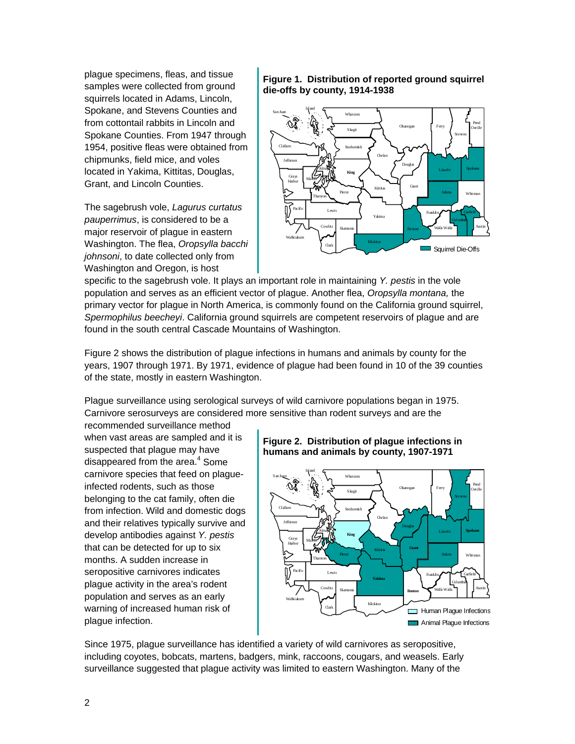plague specimens, fleas, and tissue samples were collected from ground squirrels located in Adams, Lincoln, Spokane, and Stevens Counties and from cottontail rabbits in Lincoln and Spokane Counties. From 1947 through 1954, positive fleas were obtained from chipmunks, field mice, and voles located in Yakima, Kittitas, Douglas, Grant, and Lincoln Counties.

The sagebrush vole, *Lagurus curtatus pauperrimus*, is considered to be a major reservoir of plague in eastern Washington. The flea, *Oropsylla bacchi johnsoni*, to date collected only from Washington and Oregon, is host

#### **Figure 1. Distribution of reported ground squirrel die-offs by county, 1914-1938**



specific to the sagebrush vole. It plays an important role in maintaining *Y. pestis* in the vole population and serves as an efficient vector of plague. Another flea, *Oropsylla montana,* the primary vector for plague in North America, is commonly found on the California ground squirrel, *Spermophilus beecheyi*. California ground squirrels are competent reservoirs of plague and are found in the south central Cascade Mountains of Washington.

Figure 2 shows the distribution of plague infections in humans and animals by county for the years, 1907 through 1971. By 1971, evidence of plague had been found in 10 of the 39 counties of the state, mostly in eastern Washington.

Plague surveillance using serological surveys of wild carnivore populations began in 1975. Carnivore serosurveys are considered more sensitive than rodent surveys and are the

recommended surveillance method when vast areas are sampled and it is suspected that plague may have disappeared from the area.<sup>4</sup> Some carnivore species that feed on plagueinfected rodents, such as those belonging to the cat family, often die from infection. Wild and domestic dogs and their relatives typically survive and develop antibodies against *Y. pestis* that can be detected for up to six months. A sudden increase in seropositive carnivores indicates plague activity in the area's rodent population and serves as an early warning of increased human risk of plague infection.

#### **Figure 2. Distribution of plague infections in humans and animals by county, 1907-1971**



Since 1975, plague surveillance has identified a variety of wild carnivores as seropositive, including coyotes, bobcats, martens, badgers, mink, raccoons, cougars, and weasels. Early surveillance suggested that plague activity was limited to eastern Washington. Many of the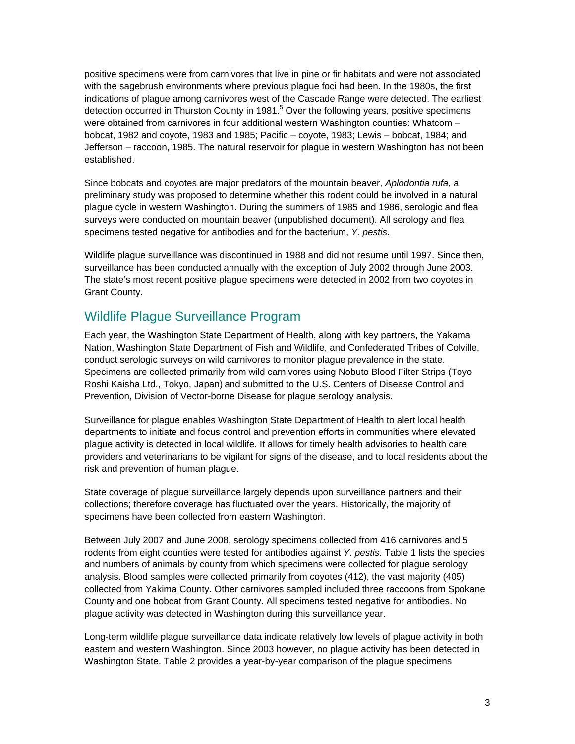positive specimens were from carnivores that live in pine or fir habitats and were not associated with the sagebrush environments where previous plague foci had been. In the 1980s, the first indications of plague among carnivores west of the Cascade Range were detected. The earliest detection occurred in Thurston County in 1981.<sup>5</sup> Over the following years, positive specimens were obtained from carnivores in four additional western Washington counties: Whatcom bobcat, 1982 and coyote, 1983 and 1985; Pacific – coyote, 1983; Lewis – bobcat, 1984; and Jefferson – raccoon, 1985. The natural reservoir for plague in western Washington has not been established.

Since bobcats and coyotes are major predators of the mountain beaver, *Aplodontia rufa,* a preliminary study was proposed to determine whether this rodent could be involved in a natural plague cycle in western Washington. During the summers of 1985 and 1986, serologic and flea surveys were conducted on mountain beaver (unpublished document). All serology and flea specimens tested negative for antibodies and for the bacterium, *Y. pestis*.

Wildlife plague surveillance was discontinued in 1988 and did not resume until 1997. Since then, surveillance has been conducted annually with the exception of July 2002 through June 2003. The state's most recent positive plague specimens were detected in 2002 from two coyotes in Grant County.

### Wildlife Plague Surveillance Program

Each year, the Washington State Department of Health, along with key partners, the Yakama Nation, Washington State Department of Fish and Wildlife, and Confederated Tribes of Colville, conduct serologic surveys on wild carnivores to monitor plague prevalence in the state. Specimens are collected primarily from wild carnivores using Nobuto Blood Filter Strips (Toyo Roshi Kaisha Ltd., Tokyo, Japan) and submitted to the U.S. Centers of Disease Control and Prevention, Division of Vector-borne Disease for plague serology analysis.

Surveillance for plague enables Washington State Department of Health to alert local health departments to initiate and focus control and prevention efforts in communities where elevated plague activity is detected in local wildlife. It allows for timely health advisories to health care providers and veterinarians to be vigilant for signs of the disease, and to local residents about the risk and prevention of human plague.

State coverage of plague surveillance largely depends upon surveillance partners and their collections; therefore coverage has fluctuated over the years. Historically, the majority of specimens have been collected from eastern Washington.

Between July 2007 and June 2008, serology specimens collected from 416 carnivores and 5 rodents from eight counties were tested for antibodies against *Y. pestis*. Table 1 lists the species and numbers of animals by county from which specimens were collected for plague serology analysis. Blood samples were collected primarily from coyotes (412), the vast majority (405) collected from Yakima County. Other carnivores sampled included three raccoons from Spokane County and one bobcat from Grant County. All specimens tested negative for antibodies. No plague activity was detected in Washington during this surveillance year.

Long-term wildlife plague surveillance data indicate relatively low levels of plague activity in both eastern and western Washington. Since 2003 however, no plague activity has been detected in Washington State. Table 2 provides a year-by-year comparison of the plague specimens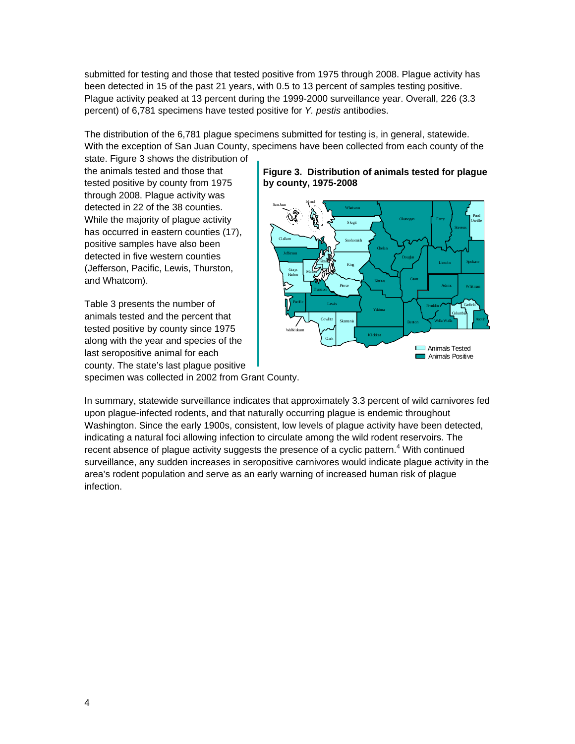submitted for testing and those that tested positive from 1975 through 2008. Plague activity has been detected in 15 of the past 21 years, with 0.5 to 13 percent of samples testing positive. Plague activity peaked at 13 percent during the 1999-2000 surveillance year. Overall, 226 (3.3 percent) of 6,781 specimens have tested positive for *Y. pestis* antibodies.

The distribution of the 6,781 plague specimens submitted for testing is, in general, statewide. With the exception of San Juan County, specimens have been collected from each county of the

state. Figure 3 shows the distribution of the animals tested and those that tested positive by county from 1975 through 2008. Plague activity was detected in 22 of the 38 counties. While the majority of plague activity has occurred in eastern counties (17), positive samples have also been detected in five western counties (Jefferson, Pacific, Lewis, Thurston, and Whatcom).

Table 3 presents the number of animals tested and the percent that tested positive by county since 1975 along with the year and species of the last seropositive animal for each county. The state's last plague positive specimen was collected in 2002 from Grant County.

#### **Figure 3. Distribution of animals tested for plague by county, 1975-2008**



In summary, statewide surveillance indicates that approximately 3.3 percent of wild carnivores fed upon plague-infected rodents, and that naturally occurring plague is endemic throughout Washington. Since the early 1900s, consistent, low levels of plague activity have been detected, indicating a natural foci allowing infection to circulate among the wild rodent reservoirs. The recent absence of plague activity suggests the presence of a cyclic pattern.<sup>4</sup> With continued surveillance, any sudden increases in seropositive carnivores would indicate plague activity in the area's rodent population and serve as an early warning of increased human risk of plague infection.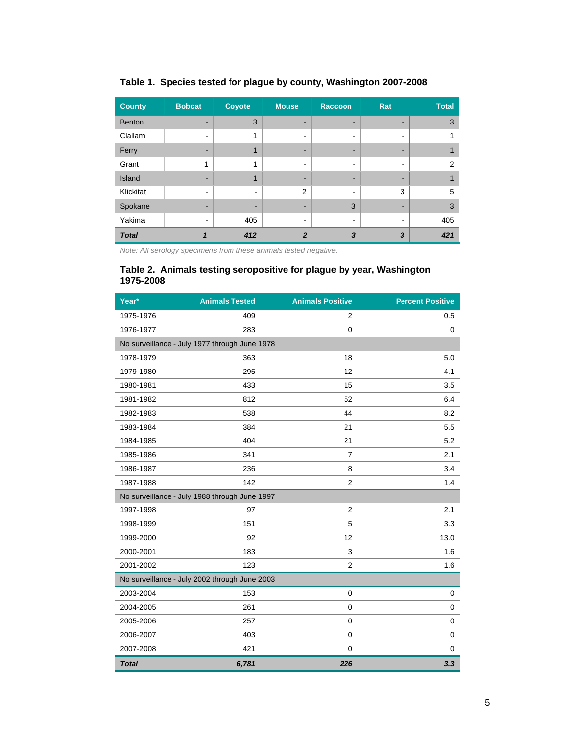| <b>County</b> | <b>Bobcat</b> | <b>Coyote</b>  | <b>Mouse</b> | <b>Raccoon</b> | Rat                      | <b>Total</b>  |
|---------------|---------------|----------------|--------------|----------------|--------------------------|---------------|
| <b>Benton</b> |               | 3              |              |                |                          | 3             |
| Clallam       |               | 1              |              |                | $\overline{\phantom{a}}$ |               |
| Ferry         |               | 1              | -            | -              |                          |               |
| Grant         | 1             | 1              | -            | $\blacksquare$ | $\overline{\phantom{a}}$ | $\mathcal{P}$ |
| Island        |               | 1              | -            |                | -                        |               |
| Klickitat     |               | $\blacksquare$ | 2            |                | 3                        | 5             |
| Spokane       |               | -              |              | 3              |                          | 3             |
| Yakima        |               | 405            | -            | ۰              | $\overline{\phantom{a}}$ | 405           |
| <b>Total</b>  |               | 412            | 2            | 3              | 3                        | 421           |

#### **Table 1. Species tested for plague by county, Washington 2007-2008**

*Note: All serology specimens from these animals tested negative.* 

#### **Table 2. Animals testing seropositive for plague by year, Washington 1975-2008**

| Year*                                         | <b>Animals Tested</b> | <b>Animals Positive</b> | <b>Percent Positive</b> |  |  |  |  |  |
|-----------------------------------------------|-----------------------|-------------------------|-------------------------|--|--|--|--|--|
| 1975-1976                                     | 409                   | 2                       | 0.5                     |  |  |  |  |  |
| 1976-1977                                     | 283                   | $\mathbf 0$             | 0                       |  |  |  |  |  |
| No surveillance - July 1977 through June 1978 |                       |                         |                         |  |  |  |  |  |
| 1978-1979                                     | 363                   | 18                      | 5.0                     |  |  |  |  |  |
| 1979-1980                                     | 295                   | 12                      | 4.1                     |  |  |  |  |  |
| 1980-1981                                     | 433                   | 15                      | 3.5                     |  |  |  |  |  |
| 1981-1982                                     | 812                   | 52                      | 6.4                     |  |  |  |  |  |
| 1982-1983                                     | 538                   | 44                      | 8.2                     |  |  |  |  |  |
| 1983-1984                                     | 384                   | 21                      | 5.5                     |  |  |  |  |  |
| 1984-1985                                     | 404                   | 21                      | 5.2                     |  |  |  |  |  |
| 1985-1986                                     | 341                   | $\overline{7}$          | 2.1                     |  |  |  |  |  |
| 1986-1987                                     | 236                   | 8                       | 3.4                     |  |  |  |  |  |
| 1987-1988                                     | 142                   | $\overline{2}$          | 1.4                     |  |  |  |  |  |
| No surveillance - July 1988 through June 1997 |                       |                         |                         |  |  |  |  |  |
| 1997-1998                                     | 97                    | 2                       | 2.1                     |  |  |  |  |  |
| 1998-1999                                     | 151                   | 5                       | 3.3                     |  |  |  |  |  |
| 1999-2000                                     | 92                    | 12                      | 13.0                    |  |  |  |  |  |
| 2000-2001                                     | 183                   | 3                       | 1.6                     |  |  |  |  |  |
| 2001-2002                                     | 123                   | 2                       | 1.6                     |  |  |  |  |  |
| No surveillance - July 2002 through June 2003 |                       |                         |                         |  |  |  |  |  |
| 2003-2004                                     | 153                   | $\mathbf 0$             | 0                       |  |  |  |  |  |
| 2004-2005                                     | 261                   | $\mathbf 0$             | 0                       |  |  |  |  |  |
| 2005-2006                                     | 257                   | $\mathbf 0$             | 0                       |  |  |  |  |  |
| 2006-2007                                     | 403                   | $\mathbf 0$             | 0                       |  |  |  |  |  |
| 2007-2008                                     | 421                   | $\mathbf 0$             | 0                       |  |  |  |  |  |
| <b>Total</b>                                  | 6,781                 | 226                     | 3.3                     |  |  |  |  |  |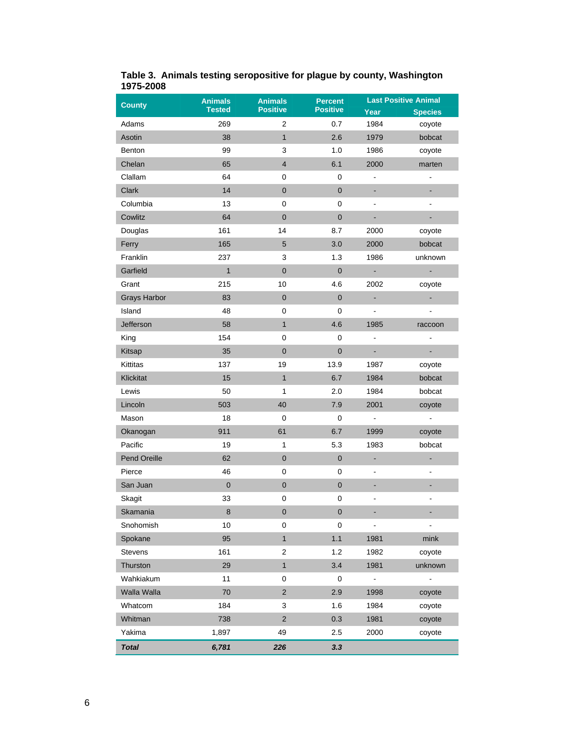| <b>County</b>       | <b>Animals</b> | <b>Animals</b>          | <b>Percent</b>  | <b>Last Positive Animal</b> |                |
|---------------------|----------------|-------------------------|-----------------|-----------------------------|----------------|
|                     | <b>Tested</b>  | <b>Positive</b>         | <b>Positive</b> | Year                        | <b>Species</b> |
| Adams               | 269            | 2                       | 0.7             | 1984                        | coyote         |
| Asotin              | 38             | $\mathbf{1}$            | 2.6             | 1979                        | bobcat         |
| <b>Benton</b>       | 99             | 3                       | 1.0             | 1986                        | coyote         |
| Chelan              | 65             | $\overline{\mathbf{4}}$ | 6.1             | 2000                        | marten         |
| Clallam             | 64             | 0                       | 0               | -                           | $\frac{1}{2}$  |
| <b>Clark</b>        | 14             | $\mathbf 0$             | $\mathbf 0$     | ۰                           | ۰              |
| Columbia            | 13             | 0                       | 0               |                             |                |
| Cowlitz             | 64             | $\pmb{0}$               | $\pmb{0}$       | ÷                           | ÷              |
| Douglas             | 161            | 14                      | 8.7             | 2000                        | coyote         |
| Ferry               | 165            | 5                       | 3.0             | 2000                        | bobcat         |
| Franklin            | 237            | 3                       | 1.3             | 1986                        | unknown        |
| Garfield            | $\overline{1}$ | $\mathbf 0$             | $\mathbf 0$     | ÷.                          | L,             |
| Grant               | 215            | 10                      | 4.6             | 2002                        | coyote         |
| <b>Grays Harbor</b> | 83             | $\pmb{0}$               | $\pmb{0}$       | ÷                           | ۰              |
| Island              | 48             | $\pmb{0}$               | $\mathbf 0$     | $\overline{a}$              |                |
| Jefferson           | 58             | $\mathbf{1}$            | 4.6             | 1985                        | raccoon        |
| King                | 154            | 0                       | 0               | L,                          | $\overline{a}$ |
| Kitsap              | 35             | $\pmb{0}$               | $\mathbf 0$     | ۳                           | ä,             |
| Kittitas            | 137            | 19                      | 13.9            | 1987                        | coyote         |
| Klickitat           | 15             | $\mathbf{1}$            | 6.7             | 1984                        | bobcat         |
| Lewis               | 50             | 1                       | 2.0             | 1984                        | bobcat         |
| Lincoln             | 503            | 40                      | 7.9             | 2001                        | coyote         |
| Mason               | 18             | $\mathbf 0$             | $\pmb{0}$       | $\blacksquare$              | $\blacksquare$ |
| Okanogan            | 911            | 61                      | 6.7             | 1999                        | coyote         |
| Pacific             | 19             | 1                       | 5.3             | 1983                        | bobcat         |
| Pend Oreille        | 62             | $\pmb{0}$               | $\pmb{0}$       | ÷                           | ٠              |
| Pierce              | 46             | $\pmb{0}$               | 0               | -                           |                |
| San Juan            | $\pmb{0}$      | $\pmb{0}$               | $\pmb{0}$       | ÷,                          |                |
| Skagit              | 33             | 0                       | 0               | -                           |                |
| Skamania            | 8              | $\mathbf 0$             | $\mathbf 0$     |                             |                |
| Snohomish           | 10             | 0                       | 0               | $\overline{\phantom{a}}$    |                |
| Spokane             | 95             | $\mathbf{1}$            | 1.1             | 1981                        | mink           |
| <b>Stevens</b>      | 161            | 2                       | 1.2             | 1982                        | coyote         |
| Thurston            | 29             | $\mathbf{1}$            | 3.4             | 1981                        | unknown        |
| Wahkiakum           | 11             | 0                       | $\mathbf 0$     | $\blacksquare$              | ÷,             |
| Walla Walla         | 70             | $\overline{c}$          | 2.9             | 1998                        | coyote         |
| Whatcom             | 184            | 3                       | 1.6             | 1984                        | coyote         |
| Whitman             | 738            | $\overline{c}$          | 0.3             | 1981                        | coyote         |
| Yakima              | 1,897          | 49                      | 2.5             | 2000                        | coyote         |
| <b>Total</b>        | 6,781          | 226                     | 3.3             |                             |                |

#### **Table 3. Animals testing seropositive for plague by county, Washington 1975-2008**